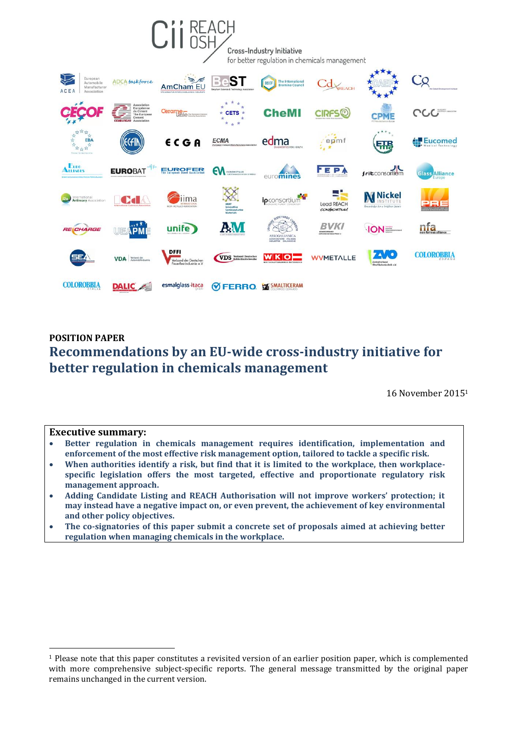

## **POSITION PAPER Recommendations by an EU-wide cross-industry initiative for better regulation in chemicals management**

16 November 2015<sup>1</sup>

## **Executive summary:**

1

- **Better regulation in chemicals management requires identification, implementation and enforcement of the most effective risk management option, tailored to tackle a specific risk.**
- **When authorities identify a risk, but find that it is limited to the workplace, then workplacespecific legislation offers the most targeted, effective and proportionate regulatory risk management approach.**
- **Adding Candidate Listing and REACH Authorisation will not improve workers' protection; it may instead have a negative impact on, or even prevent, the achievement of key environmental and other policy objectives.**
- **The co-signatories of this paper submit a concrete set of proposals aimed at achieving better regulation when managing chemicals in the workplace.**

<sup>1</sup> Please note that this paper constitutes a revisited version of an earlier position paper, which is complemented with more comprehensive subject-specific reports. The general message transmitted by the original paper remains unchanged in the current version.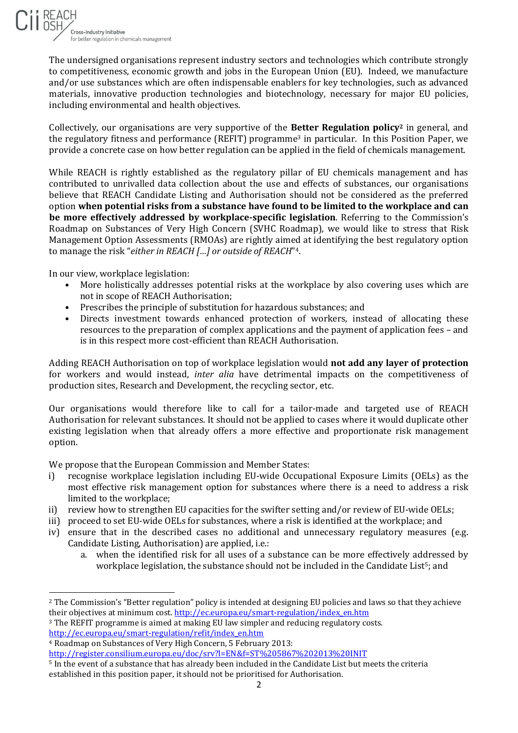

The undersigned organisations represent industry sectors and technologies which contribute strongly to competitiveness, economic growth and jobs in the European Union (EU). Indeed, we manufacture and/or use substances which are often indispensable enablers for key technologies, such as advanced materials, innovative production technologies and biotechnology, necessary for major EU policies, including environmental and health objectives.

Collectively, our organisations are very supportive of the **Better Regulation policy<sup>2</sup>** in general, and the regulatory fitness and performance (REFIT) programme<sup>3</sup> in particular. In this Position Paper, we provide a concrete case on how better regulation can be applied in the field of chemicals management.

While REACH is rightly established as the regulatory pillar of EU chemicals management and has contributed to unrivalled data collection about the use and effects of substances, our organisations believe that REACH Candidate Listing and Authorisation should not be considered as the preferred option **when potential risks from a substance have found to be limited to the workplace and can be more effectively addressed by workplace-specific legislation**. Referring to the Commission's Roadmap on Substances of Very High Concern (SVHC Roadmap), we would like to stress that Risk Management Option Assessments (RMOAs) are rightly aimed at identifying the best regulatory option to manage the risk "*either in REACH […] or outside of REACH*" 4.

In our view, workplace legislation:

- More holistically addresses potential risks at the workplace by also covering uses which are not in scope of REACH Authorisation;
- Prescribes the principle of substitution for hazardous substances; and
- Directs investment towards enhanced protection of workers, instead of allocating these resources to the preparation of complex applications and the payment of application fees – and is in this respect more cost-efficient than REACH Authorisation.

Adding REACH Authorisation on top of workplace legislation would **not add any layer of protection** for workers and would instead, *inter alia* have detrimental impacts on the competitiveness of production sites, Research and Development, the recycling sector, etc.

Our organisations would therefore like to call for a tailor-made and targeted use of REACH Authorisation for relevant substances. It should not be applied to cases where it would duplicate other existing legislation when that already offers a more effective and proportionate risk management option.

We propose that the European Commission and Member States:

- i) recognise workplace legislation including EU-wide Occupational Exposure Limits (OELs) as the most effective risk management option for substances where there is a need to address a risk limited to the workplace;
- ii) review how to strengthen EU capacities for the swifter setting and/or review of EU-wide OELs;
- iii) proceed to set EU-wide OELs for substances, where a risk is identified at the workplace; and
- iv) ensure that in the described cases no additional and unnecessary regulatory measures (e.g. Candidate Listing, Authorisation) are applied, i.e.:
	- a. when the identified risk for all uses of a substance can be more effectively addressed by workplace legislation, the substance should not be included in the Candidate List<sup>5</sup>; and

<sup>4</sup> Roadmap on Substances of Very High Concern, 5 February 2013:

1

<sup>&</sup>lt;sup>2</sup> The Commission's "Better regulation" policy is intended at designing EU policies and laws so that they achieve their objectives at minimum cost. [http://ec.europa.eu/smart-regulation/index\\_en.htm](http://ec.europa.eu/smart-regulation/index_en.htm)

<sup>3</sup> The REFIT programme is aimed at making EU law simpler and reducing regulatory costs. [http://ec.europa.eu/smart-regulation/refit/index\\_en.htm](http://ec.europa.eu/smart-regulation/refit/index_en.htm)

<http://register.consilium.europa.eu/doc/srv?l=EN&f=ST%205867%202013%20INIT>

<sup>5</sup> In the event of a substance that has already been included in the Candidate List but meets the criteria established in this position paper, it should not be prioritised for Authorisation.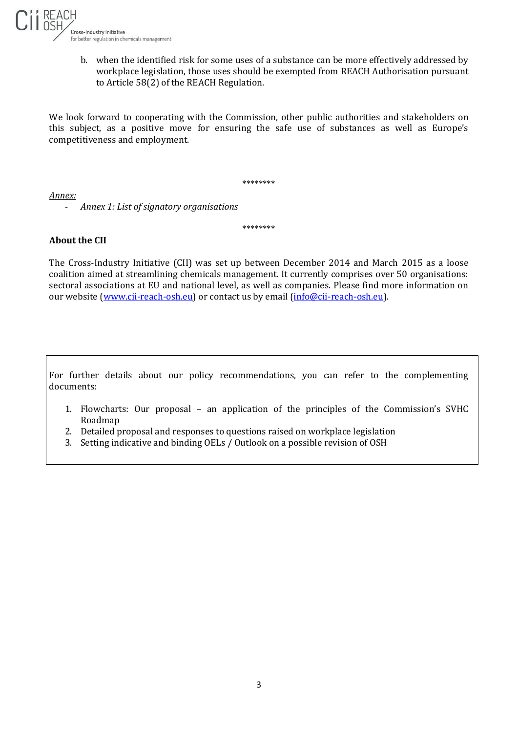

b. when the identified risk for some uses of a substance can be more effectively addressed by workplace legislation, those uses should be exempted from REACH Authorisation pursuant to Article 58(2) of the REACH Regulation.

We look forward to cooperating with the Commission, other public authorities and stakeholders on this subject, as a positive move for ensuring the safe use of substances as well as Europe's competitiveness and employment.

\*\*\*\*\*\*\*\*

\*\*\*\*\*\*\*\*

*Annex:*

- *Annex 1: List of signatory organisations*

## **About the CII**

The Cross-Industry Initiative (CII) was set up between December 2014 and March 2015 as a loose coalition aimed at streamlining chemicals management. It currently comprises over 50 organisations: sectoral associations at EU and national level, as well as companies. Please find more information on our website [\(www.cii-reach-osh.eu\)](http://www.cii-reach-osh.eu/) or contact us by email [\(info@cii-reach-osh.eu\)](mailto:info@cii-reach-osh.eu).

For further details about our policy recommendations, you can refer to the complementing documents:

- 1. Flowcharts: Our proposal an application of the principles of the Commission's SVHC Roadmap
- 2. Detailed proposal and responses to questions raised on workplace legislation
- 3. Setting indicative and binding OELs / Outlook on a possible revision of OSH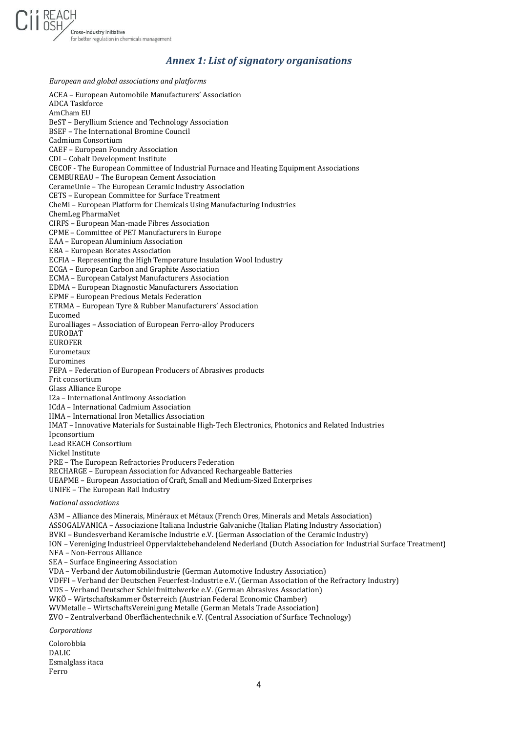

## *Annex 1: List of signatory organisations*

*European and global associations and platforms* ACEA – European Automobile Manufacturers' Association ADCA Taskforce AmCham EU BeST – Beryllium Science and Technology Association BSEF – The International Bromine Council Cadmium Consortium CAEF – European Foundry Association CDI – Cobalt Development Institute CECOF - The European Committee of Industrial Furnace and Heating Equipment Associations CEMBUREAU – The European Cement Association CerameUnie – The European Ceramic Industry Association CETS – European Committee for Surface Treatment CheMi – European Platform for Chemicals Using Manufacturing Industries ChemLeg PharmaNet CIRFS – European Man-made Fibres Association CPME – Committee of PET Manufacturers in Europe EAA – European Aluminium Association EBA – European Borates Association ECFIA – Representing the High Temperature Insulation Wool Industry ECGA – European Carbon and Graphite Association ECMA – European Catalyst Manufacturers Association EDMA – European Diagnostic Manufacturers Association EPMF – European Precious Metals Federation ETRMA – European Tyre & Rubber Manufacturers' Association Eucomed Euroalliages – Association of European Ferro-alloy Producers EUROBAT EUROFER Eurometaux Euromines FEPA – Federation of European Producers of Abrasives products Frit consortium Glass Alliance Europe I2a – International Antimony Association ICdA – International Cadmium Association IIMA – International Iron Metallics Association IMAT – Innovative Materials for Sustainable High-Tech Electronics, Photonics and Related Industries Ipconsortium Lead REACH Consortium Nickel Institute PRE – The European Refractories Producers Federation RECHARGE – European Association for Advanced Rechargeable Batteries UEAPME – European Association of Craft, Small and Medium-Sized Enterprises UNIFE – The European Rail Industry *National associations* A3M – Alliance des Minerais, Minéraux et Métaux (French Ores, Minerals and Metals Association) ASSOGALVANICA – Associazione Italiana Industrie Galvaniche (Italian Plating Industry Association) BVKI – Bundesverband Keramische Industrie e.V. (German Association of the Ceramic Industry) ION – Vereniging Industrieel Oppervlaktebehandelend Nederland (Dutch Association for Industrial Surface Treatment) NFA – Non-Ferrous Alliance SEA – Surface Engineering Association VDA – Verband der Automobilindustrie (German Automotive Industry Association) VDFFI – Verband der Deutschen Feuerfest-Industrie e.V. (German Association of the Refractory Industry) VDS – Verband Deutscher Schleifmittelwerke e.V. (German Abrasives Association) WKÖ – Wirtschaftskammer Österreich (Austrian Federal Economic Chamber) WVMetalle – WirtschaftsVereinigung Metalle (German Metals Trade Association) ZVO – Zentralverband Oberflächentechnik e.V. (Central Association of Surface Technology) *Corporations* Colorobbia DALIC Esmalglass itaca Ferro